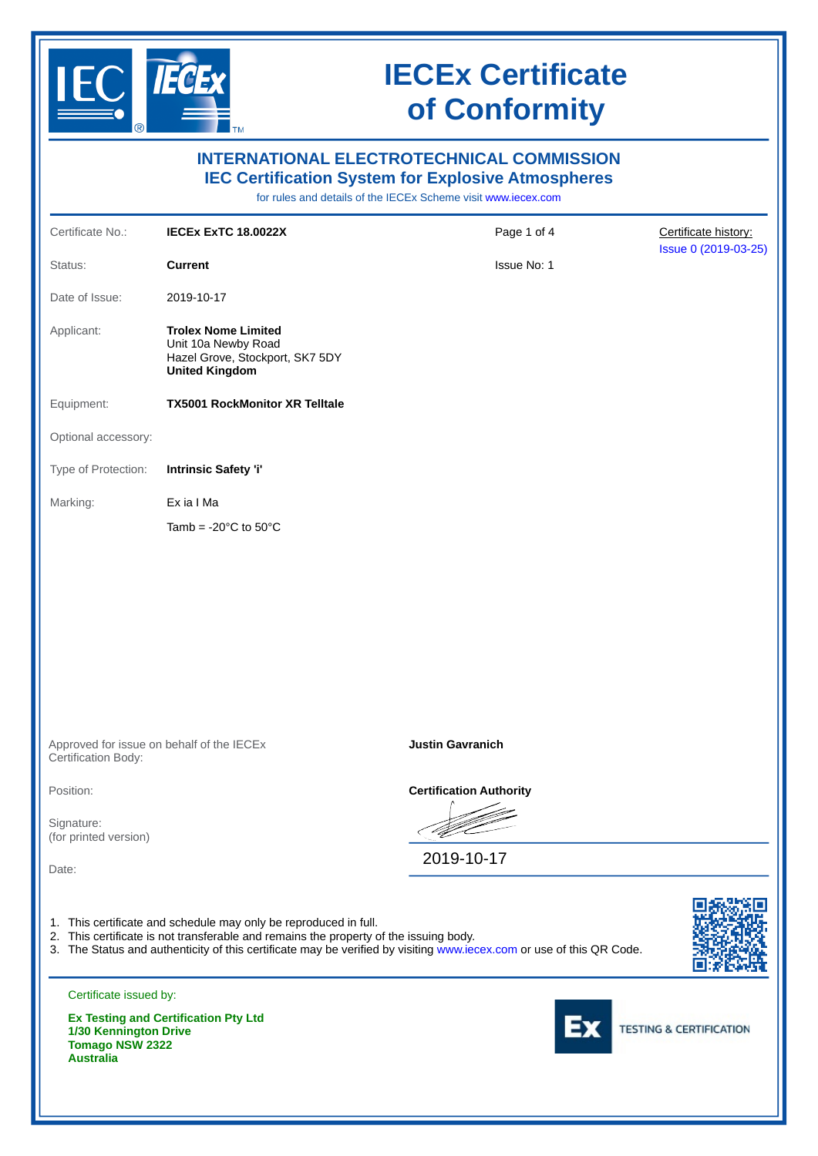

|                                                                     |                                                                                                                                                           | <b>INTERNATIONAL ELECTROTECHNICAL COMMISSION</b><br><b>IEC Certification System for Explosive Atmospheres</b><br>for rules and details of the IECEx Scheme visit www.iecex.com |                                    |
|---------------------------------------------------------------------|-----------------------------------------------------------------------------------------------------------------------------------------------------------|--------------------------------------------------------------------------------------------------------------------------------------------------------------------------------|------------------------------------|
| Certificate No.:                                                    | <b>IECEX EXTC 18.0022X</b>                                                                                                                                | Page 1 of 4                                                                                                                                                                    | Certificate history:               |
| Status:                                                             | <b>Current</b>                                                                                                                                            | Issue No: 1                                                                                                                                                                    | Issue 0 (2019-03-25)               |
| Date of Issue:                                                      | 2019-10-17                                                                                                                                                |                                                                                                                                                                                |                                    |
| Applicant:                                                          | <b>Trolex Nome Limited</b><br>Unit 10a Newby Road<br>Hazel Grove, Stockport, SK7 5DY<br><b>United Kingdom</b>                                             |                                                                                                                                                                                |                                    |
| Equipment:                                                          | <b>TX5001 RockMonitor XR Telltale</b>                                                                                                                     |                                                                                                                                                                                |                                    |
| Optional accessory:                                                 |                                                                                                                                                           |                                                                                                                                                                                |                                    |
| Type of Protection:                                                 | Intrinsic Safety 'i'                                                                                                                                      |                                                                                                                                                                                |                                    |
| Marking:                                                            | Ex ia I Ma                                                                                                                                                |                                                                                                                                                                                |                                    |
|                                                                     | Tamb = $-20^{\circ}$ C to 50 $^{\circ}$ C                                                                                                                 |                                                                                                                                                                                |                                    |
|                                                                     | Approved for issue on behalf of the IECEx                                                                                                                 | <b>Justin Gavranich</b>                                                                                                                                                        |                                    |
| Certification Body:                                                 |                                                                                                                                                           |                                                                                                                                                                                |                                    |
| Position:                                                           |                                                                                                                                                           | <b>Certification Authority</b>                                                                                                                                                 |                                    |
| Signature:<br>(for printed version)                                 |                                                                                                                                                           |                                                                                                                                                                                |                                    |
| Date:                                                               |                                                                                                                                                           | 2019-10-17                                                                                                                                                                     |                                    |
|                                                                     | 1. This certificate and schedule may only be reproduced in full.<br>2. This certificate is not transferable and remains the property of the issuing body. | 3. The Status and authenticity of this certificate may be verified by visiting www.iecex.com or use of this QR Code.                                                           |                                    |
| Certificate issued by:                                              |                                                                                                                                                           |                                                                                                                                                                                |                                    |
| 1/30 Kennington Drive<br><b>Tomago NSW 2322</b><br><b>Australia</b> | <b>Ex Testing and Certification Pty Ltd</b>                                                                                                               |                                                                                                                                                                                | <b>TESTING &amp; CERTIFICATION</b> |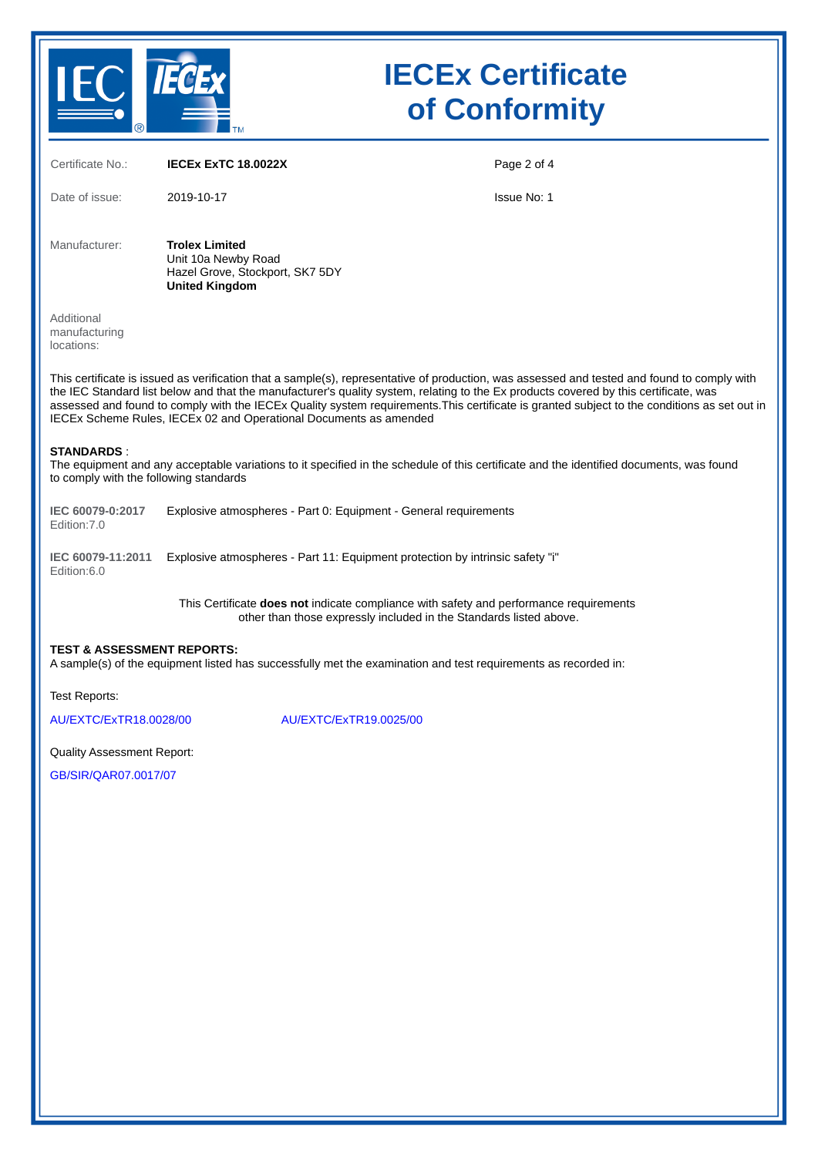

| Certificate No.:                                                                                                                                                                                                                                                                                                                                                                                                                                                                                         | <b>IECEX EXTC 18.0022X</b>                                                                                                                                   | Page 2 of 4 |  |  |
|----------------------------------------------------------------------------------------------------------------------------------------------------------------------------------------------------------------------------------------------------------------------------------------------------------------------------------------------------------------------------------------------------------------------------------------------------------------------------------------------------------|--------------------------------------------------------------------------------------------------------------------------------------------------------------|-------------|--|--|
| Date of issue:                                                                                                                                                                                                                                                                                                                                                                                                                                                                                           | 2019-10-17                                                                                                                                                   | Issue No: 1 |  |  |
| Manufacturer:                                                                                                                                                                                                                                                                                                                                                                                                                                                                                            | <b>Trolex Limited</b><br>Unit 10a Newby Road<br>Hazel Grove, Stockport, SK7 5DY<br><b>United Kingdom</b>                                                     |             |  |  |
| Additional<br>manufacturing<br>locations:                                                                                                                                                                                                                                                                                                                                                                                                                                                                |                                                                                                                                                              |             |  |  |
| This certificate is issued as verification that a sample(s), representative of production, was assessed and tested and found to comply with<br>the IEC Standard list below and that the manufacturer's quality system, relating to the Ex products covered by this certificate, was<br>assessed and found to comply with the IECEx Quality system requirements. This certificate is granted subject to the conditions as set out in<br>IECEx Scheme Rules, IECEx 02 and Operational Documents as amended |                                                                                                                                                              |             |  |  |
| <b>STANDARDS:</b><br>to comply with the following standards                                                                                                                                                                                                                                                                                                                                                                                                                                              | The equipment and any acceptable variations to it specified in the schedule of this certificate and the identified documents, was found                      |             |  |  |
| IEC 60079-0:2017<br>Edition: 7.0                                                                                                                                                                                                                                                                                                                                                                                                                                                                         | Explosive atmospheres - Part 0: Equipment - General requirements                                                                                             |             |  |  |
| IEC 60079-11:2011<br>Edition:6.0                                                                                                                                                                                                                                                                                                                                                                                                                                                                         | Explosive atmospheres - Part 11: Equipment protection by intrinsic safety "i"                                                                                |             |  |  |
|                                                                                                                                                                                                                                                                                                                                                                                                                                                                                                          | This Certificate does not indicate compliance with safety and performance requirements<br>other than those expressly included in the Standards listed above. |             |  |  |
| <b>TEST &amp; ASSESSMENT REPORTS:</b><br>A sample(s) of the equipment listed has successfully met the examination and test requirements as recorded in:                                                                                                                                                                                                                                                                                                                                                  |                                                                                                                                                              |             |  |  |
| Test Reports:                                                                                                                                                                                                                                                                                                                                                                                                                                                                                            |                                                                                                                                                              |             |  |  |
| AU/EXTC/ExTR18.0028/00                                                                                                                                                                                                                                                                                                                                                                                                                                                                                   | AU/EXTC/ExTR19.0025/00                                                                                                                                       |             |  |  |
| <b>Quality Assessment Report:</b>                                                                                                                                                                                                                                                                                                                                                                                                                                                                        |                                                                                                                                                              |             |  |  |
| GB/SIR/OAR07.0017/07                                                                                                                                                                                                                                                                                                                                                                                                                                                                                     |                                                                                                                                                              |             |  |  |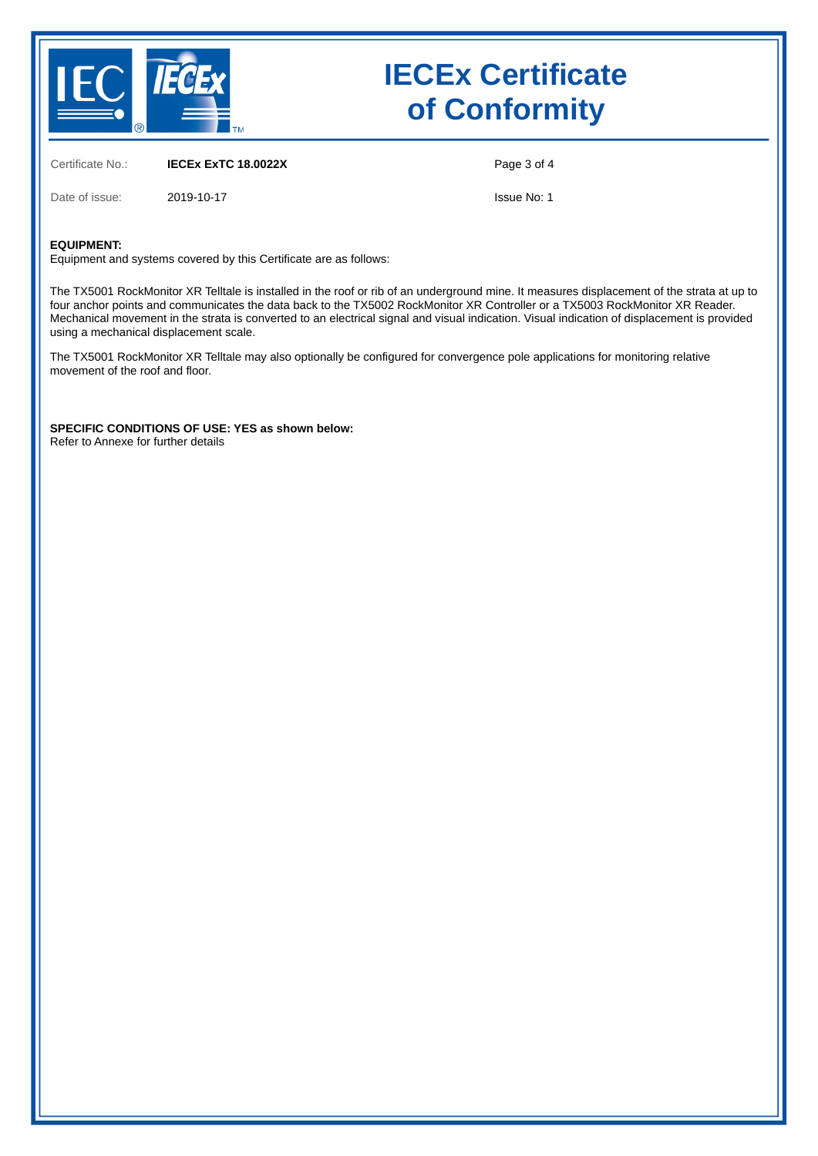

Certificate No.: **IECEx ExTC 18.0022X**

Date of issue: 2019-10-17

Page 3 of 4

Issue No: 1

#### **EQUIPMENT:**

Equipment and systems covered by this Certificate are as follows:

The TX5001 RockMonitor XR Telltale is installed in the roof or rib of an underground mine. It measures displacement of the strata at up to four anchor points and communicates the data back to the TX5002 RockMonitor XR Controller or a TX5003 RockMonitor XR Reader. Mechanical movement in the strata is converted to an electrical signal and visual indication. Visual indication of displacement is provided using a mechanical displacement scale.

The TX5001 RockMonitor XR Telltale may also optionally be configured for convergence pole applications for monitoring relative movement of the roof and floor.

**SPECIFIC CONDITIONS OF USE: YES as shown below:** Refer to Annexe for further details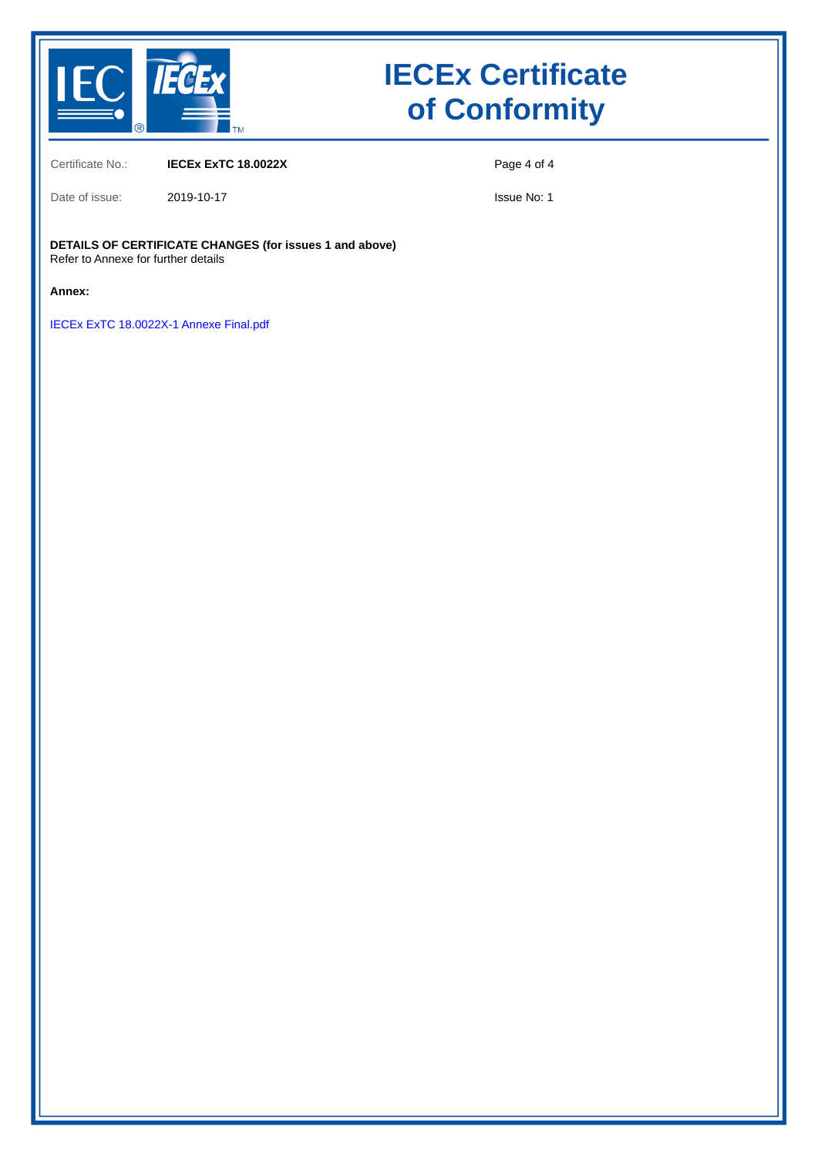

Certificate No.: **IECEx ExTC 18.0022X**

Date of issue: 2019-10-17

Issue No: 1

Page 4 of 4

#### **DETAILS OF CERTIFICATE CHANGES (for issues 1 and above)** Refer to Annexe for further details

**Annex:**

[IECEx ExTC 18.0022X-1 Annexe Final.pdf](https://www.iecex-certs.com/deliverables/CERT/17573/view)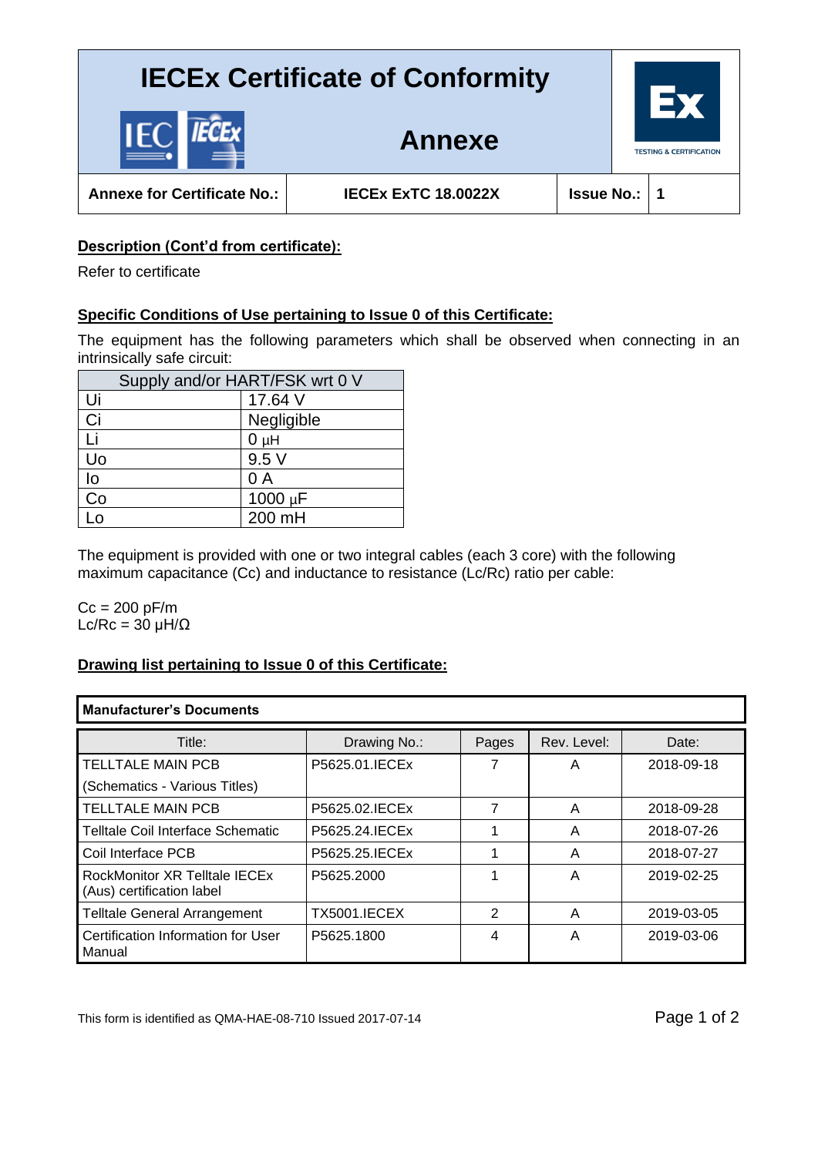

**Annexe for Certificate No.: IECEx ExTC 18.0022X Issue No.: 1**

**Annexe**

### **Description (Cont'd from certificate):**

Refer to certificate

### **Specific Conditions of Use pertaining to Issue 0 of this Certificate:**

The equipment has the following parameters which shall be observed when connecting in an intrinsically safe circuit:

| Supply and/or HART/FSK wrt 0 V |              |  |  |  |
|--------------------------------|--------------|--|--|--|
| Ui                             | 17.64 V      |  |  |  |
| Ci                             | Negligible   |  |  |  |
| Li                             | $0\muH$      |  |  |  |
| Uo                             | 9.5V         |  |  |  |
| lo                             | 0 A          |  |  |  |
| Co                             | $1000 \mu F$ |  |  |  |
| $\overline{0}$                 | 200 mH       |  |  |  |

The equipment is provided with one or two integral cables (each 3 core) with the following maximum capacitance (Cc) and inductance to resistance (Lc/Rc) ratio per cable:

 $Cc = 200 pF/m$ Lc/Rc =  $30 \mu H/\Omega$ 

### **Drawing list pertaining to Issue 0 of this Certificate:**

| <b>Manufacturer's Documents</b>                                   |                     |       |             |            |  |
|-------------------------------------------------------------------|---------------------|-------|-------------|------------|--|
| Title:                                                            | Drawing No.:        | Pages | Rev. Level: | Date:      |  |
| <b>TELLTALE MAIN PCB</b>                                          | P5625.01. IECEx     |       | Α           | 2018-09-18 |  |
| (Schematics - Various Titles)                                     |                     |       |             |            |  |
| <b>TELLTALE MAIN PCB</b>                                          | P5625.02. IECEx     | 7     | A           | 2018-09-28 |  |
| Telltale Coil Interface Schematic                                 | P5625.24. IECEx     |       | A           | 2018-07-26 |  |
| Coil Interface PCB                                                | P5625.25. IECEx     |       | A           | 2018-07-27 |  |
| <b>RockMonitor XR Telltale IECEx</b><br>(Aus) certification label | P5625.2000          |       | A           | 2019-02-25 |  |
| <b>Telltale General Arrangement</b>                               | <b>TX5001.IECEX</b> | 2     | A           | 2019-03-05 |  |
| Certification Information for User<br>Manual                      | P5625.1800          | 4     | A           | 2019-03-06 |  |